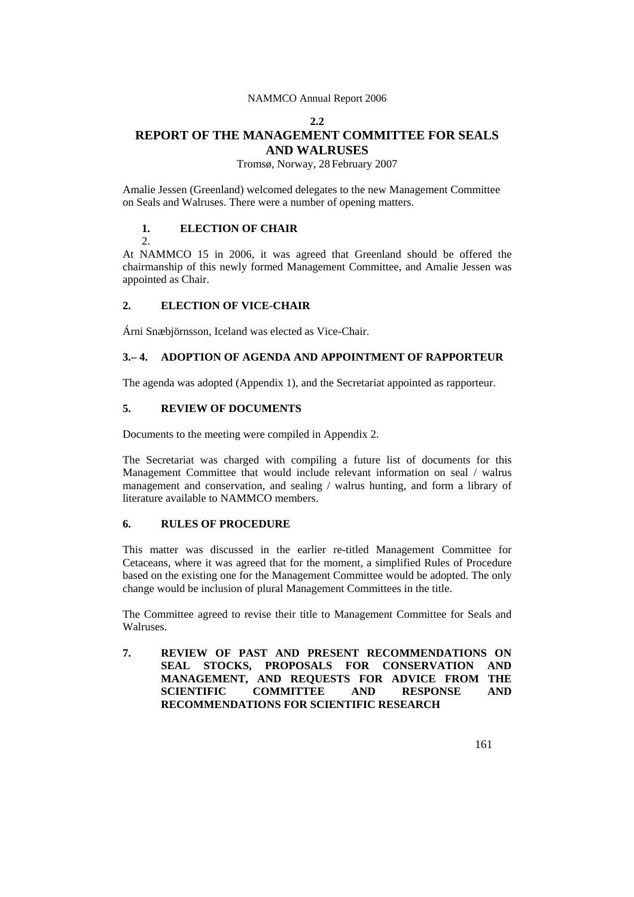#### **2.2**

# **REPORT OF THE MANAGEMENT COMMITTEE FOR SEALS AND WALRUSES**

Tromsø, Norway, 28 February 2007

Amalie Jessen (Greenland) welcomed delegates to the new Management Committee on Seals and Walruses. There were a number of opening matters.

# **1. ELECTION OF CHAIR**

 $\mathcal{D}$ 

At NAMMCO 15 in 2006, it was agreed that Greenland should be offered the chairmanship of this newly formed Management Committee, and Amalie Jessen was appointed as Chair.

# **2. ELECTION OF VICE-CHAIR**

Árni Snæbjörnsson, Iceland was elected as Vice-Chair.

# **3.– 4. ADOPTION OF AGENDA AND APPOINTMENT OF RAPPORTEUR**

The agenda was adopted (Appendix 1), and the Secretariat appointed as rapporteur.

# **5. REVIEW OF DOCUMENTS**

Documents to the meeting were compiled in Appendix 2.

The Secretariat was charged with compiling a future list of documents for this Management Committee that would include relevant information on seal / walrus management and conservation, and sealing / walrus hunting, and form a library of literature available to NAMMCO members.

# **6. RULES OF PROCEDURE**

This matter was discussed in the earlier re-titled Management Committee for Cetaceans, where it was agreed that for the moment, a simplified Rules of Procedure based on the existing one for the Management Committee would be adopted. The only change would be inclusion of plural Management Committees in the title.

The Committee agreed to revise their title to Management Committee for Seals and Walruses.

**7. REVIEW OF PAST AND PRESENT RECOMMENDATIONS ON SEAL STOCKS, PROPOSALS FOR CONSERVATION AND MANAGEMENT, AND REQUESTS FOR ADVICE FROM THE SCIENTIFIC COMMITTEE AND RESPONSE AND RECOMMENDATIONS FOR SCIENTIFIC RESEARCH**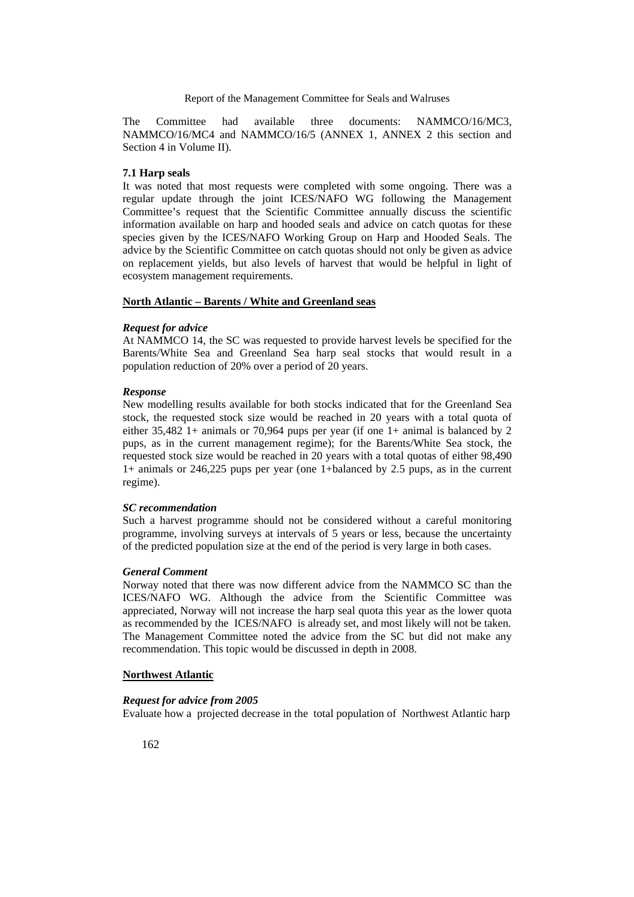The Committee had available three documents: NAMMCO/16/MC3, NAMMCO/16/MC4 and NAMMCO/16/5 (ANNEX 1, ANNEX 2 this section and Section 4 in Volume II).

# **7.1 Harp seals**

It was noted that most requests were completed with some ongoing. There was a regular update through the joint ICES/NAFO WG following the Management Committee's request that the Scientific Committee annually discuss the scientific information available on harp and hooded seals and advice on catch quotas for these species given by the ICES/NAFO Working Group on Harp and Hooded Seals. The advice by the Scientific Committee on catch quotas should not only be given as advice on replacement yields, but also levels of harvest that would be helpful in light of ecosystem management requirements.

### **North Atlantic – Barents / White and Greenland seas**

#### *Request for advice*

At NAMMCO 14, the SC was requested to provide harvest levels be specified for the Barents/White Sea and Greenland Sea harp seal stocks that would result in a population reduction of 20% over a period of 20 years.

### *Response*

New modelling results available for both stocks indicated that for the Greenland Sea stock, the requested stock size would be reached in 20 years with a total quota of either 35,482 1+ animals or 70,964 pups per year (if one 1+ animal is balanced by 2 pups, as in the current management regime); for the Barents/White Sea stock, the requested stock size would be reached in 20 years with a total quotas of either 98,490 1+ animals or 246,225 pups per year (one 1+balanced by 2.5 pups, as in the current regime).

### *SC recommendation*

Such a harvest programme should not be considered without a careful monitoring programme, involving surveys at intervals of 5 years or less, because the uncertainty of the predicted population size at the end of the period is very large in both cases.

# *General Comment*

Norway noted that there was now different advice from the NAMMCO SC than the ICES/NAFO WG. Although the advice from the Scientific Committee was appreciated, Norway will not increase the harp seal quota this year as the lower quota as recommended by the ICES/NAFO is already set, and most likely will not be taken. The Management Committee noted the advice from the SC but did not make any recommendation. This topic would be discussed in depth in 2008.

#### **Northwest Atlantic**

#### *Request for advice from 2005*

Evaluate how a projected decrease in the total population of Northwest Atlantic harp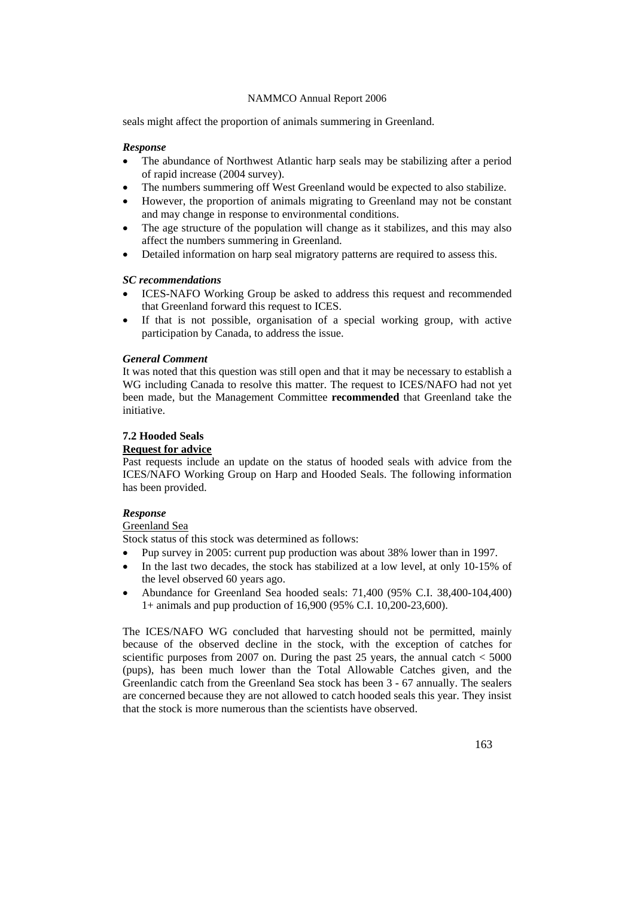seals might affect the proportion of animals summering in Greenland.

### *Response*

- The abundance of Northwest Atlantic harp seals may be stabilizing after a period of rapid increase (2004 survey).
- The numbers summering off West Greenland would be expected to also stabilize.
- However, the proportion of animals migrating to Greenland may not be constant and may change in response to environmental conditions.
- The age structure of the population will change as it stabilizes, and this may also affect the numbers summering in Greenland.
- Detailed information on harp seal migratory patterns are required to assess this.

#### *SC recommendations*

- ICES-NAFO Working Group be asked to address this request and recommended that Greenland forward this request to ICES.
- If that is not possible, organisation of a special working group, with active participation by Canada, to address the issue.

#### *General Comment*

It was noted that this question was still open and that it may be necessary to establish a WG including Canada to resolve this matter. The request to ICES/NAFO had not yet been made, but the Management Committee **recommended** that Greenland take the initiative.

# **7.2 Hooded Seals**

### **Request for advice**

Past requests include an update on the status of hooded seals with advice from the ICES/NAFO Working Group on Harp and Hooded Seals. The following information has been provided.

#### *Response*

#### Greenland Sea

Stock status of this stock was determined as follows:

- Pup survey in 2005: current pup production was about 38% lower than in 1997.
- In the last two decades, the stock has stabilized at a low level, at only 10-15% of the level observed 60 years ago.
- Abundance for Greenland Sea hooded seals: 71,400 (95% C.I. 38,400-104,400) 1+ animals and pup production of 16,900 (95% C.I. 10,200-23,600).

The ICES/NAFO WG concluded that harvesting should not be permitted, mainly because of the observed decline in the stock, with the exception of catches for scientific purposes from 2007 on. During the past 25 years, the annual catch  $<$  5000 (pups), has been much lower than the Total Allowable Catches given, and the Greenlandic catch from the Greenland Sea stock has been 3 - 67 annually. The sealers are concerned because they are not allowed to catch hooded seals this year. They insist that the stock is more numerous than the scientists have observed.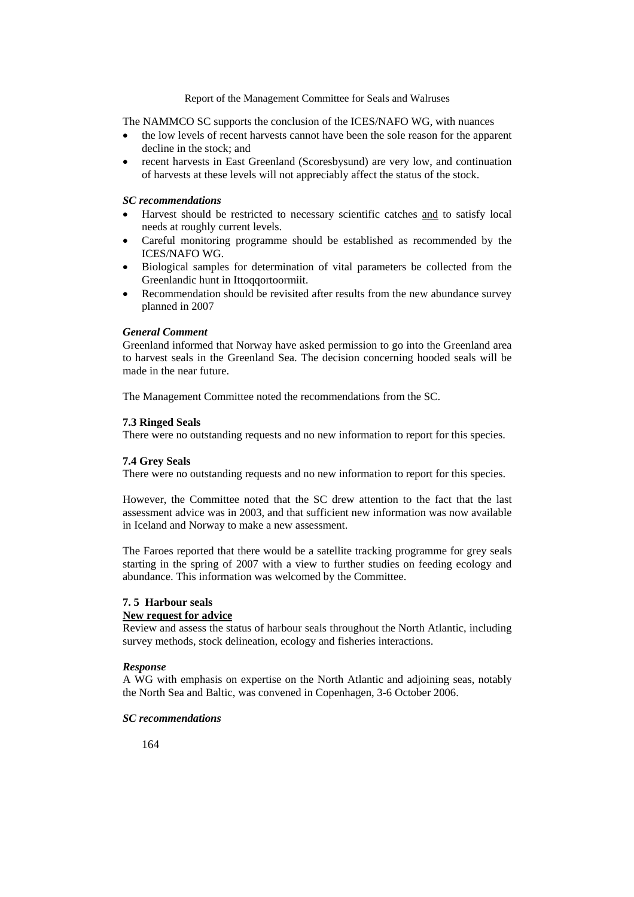The NAMMCO SC supports the conclusion of the ICES/NAFO WG, with nuances

- the low levels of recent harvests cannot have been the sole reason for the apparent decline in the stock; and
- recent harvests in East Greenland (Scoresbysund) are very low, and continuation of harvests at these levels will not appreciably affect the status of the stock.

# *SC recommendations*

- Harvest should be restricted to necessary scientific catches and to satisfy local needs at roughly current levels.
- Careful monitoring programme should be established as recommended by the ICES/NAFO WG.
- Biological samples for determination of vital parameters be collected from the Greenlandic hunt in Ittogqortoormiit.
- Recommendation should be revisited after results from the new abundance survey planned in 2007

### *General Comment*

Greenland informed that Norway have asked permission to go into the Greenland area to harvest seals in the Greenland Sea. The decision concerning hooded seals will be made in the near future.

The Management Committee noted the recommendations from the SC.

#### **7.3 Ringed Seals**

There were no outstanding requests and no new information to report for this species.

### **7.4 Grey Seals**

There were no outstanding requests and no new information to report for this species.

However, the Committee noted that the SC drew attention to the fact that the last assessment advice was in 2003, and that sufficient new information was now available in Iceland and Norway to make a new assessment.

The Faroes reported that there would be a satellite tracking programme for grey seals starting in the spring of 2007 with a view to further studies on feeding ecology and abundance. This information was welcomed by the Committee.

# **7. 5 Harbour seals**

### **New request for advice**

Review and assess the status of harbour seals throughout the North Atlantic, including survey methods, stock delineation, ecology and fisheries interactions.

#### *Response*

A WG with emphasis on expertise on the North Atlantic and adjoining seas, notably the North Sea and Baltic, was convened in Copenhagen, 3-6 October 2006.

# *SC recommendations*

164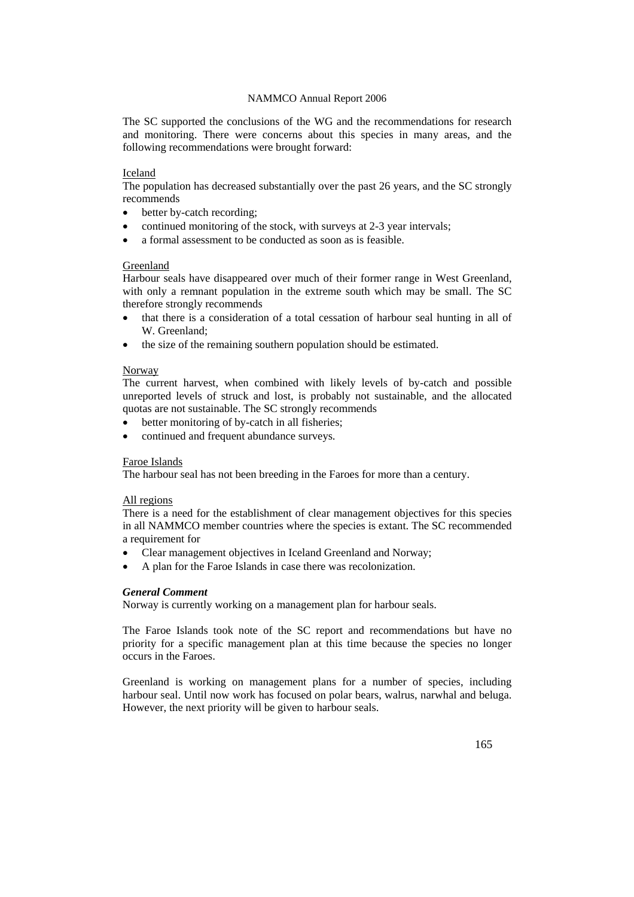The SC supported the conclusions of the WG and the recommendations for research and monitoring. There were concerns about this species in many areas, and the following recommendations were brought forward:

#### Iceland

The population has decreased substantially over the past 26 years, and the SC strongly recommends

- better by-catch recording;
- continued monitoring of the stock, with surveys at 2-3 year intervals;
- a formal assessment to be conducted as soon as is feasible.

#### Greenland

Harbour seals have disappeared over much of their former range in West Greenland, with only a remnant population in the extreme south which may be small. The SC therefore strongly recommends

- that there is a consideration of a total cessation of harbour seal hunting in all of W. Greenland;
- the size of the remaining southern population should be estimated.

#### Norway

The current harvest, when combined with likely levels of by-catch and possible unreported levels of struck and lost, is probably not sustainable, and the allocated quotas are not sustainable. The SC strongly recommends

- better monitoring of by-catch in all fisheries;
- continued and frequent abundance surveys.

### Faroe Islands

The harbour seal has not been breeding in the Faroes for more than a century.

#### All regions

There is a need for the establishment of clear management objectives for this species in all NAMMCO member countries where the species is extant. The SC recommended a requirement for

- Clear management objectives in Iceland Greenland and Norway;
- A plan for the Faroe Islands in case there was recolonization.

#### *General Comment*

Norway is currently working on a management plan for harbour seals.

The Faroe Islands took note of the SC report and recommendations but have no priority for a specific management plan at this time because the species no longer occurs in the Faroes.

Greenland is working on management plans for a number of species, including harbour seal. Until now work has focused on polar bears, walrus, narwhal and beluga. However, the next priority will be given to harbour seals.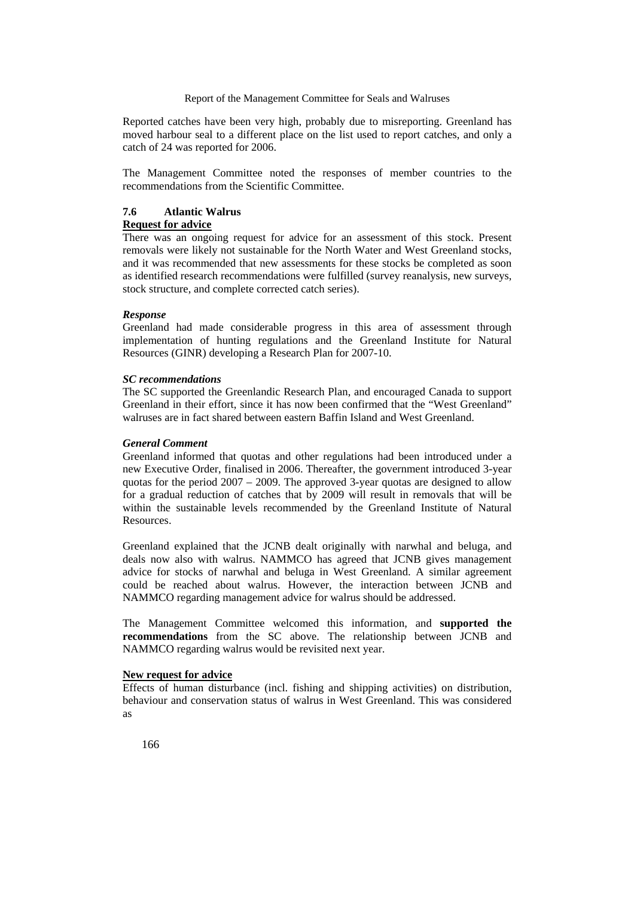Reported catches have been very high, probably due to misreporting. Greenland has moved harbour seal to a different place on the list used to report catches, and only a catch of 24 was reported for 2006.

The Management Committee noted the responses of member countries to the recommendations from the Scientific Committee.

# **7.6 Atlantic Walrus**

# **Request for advice**

There was an ongoing request for advice for an assessment of this stock. Present removals were likely not sustainable for the North Water and West Greenland stocks, and it was recommended that new assessments for these stocks be completed as soon as identified research recommendations were fulfilled (survey reanalysis, new surveys, stock structure, and complete corrected catch series).

#### *Response*

Greenland had made considerable progress in this area of assessment through implementation of hunting regulations and the Greenland Institute for Natural Resources (GINR) developing a Research Plan for 2007-10.

#### *SC recommendations*

The SC supported the Greenlandic Research Plan, and encouraged Canada to support Greenland in their effort, since it has now been confirmed that the "West Greenland" walruses are in fact shared between eastern Baffin Island and West Greenland.

### *General Comment*

Greenland informed that quotas and other regulations had been introduced under a new Executive Order, finalised in 2006. Thereafter, the government introduced 3-year quotas for the period 2007 – 2009. The approved 3-year quotas are designed to allow for a gradual reduction of catches that by 2009 will result in removals that will be within the sustainable levels recommended by the Greenland Institute of Natural Resources.

Greenland explained that the JCNB dealt originally with narwhal and beluga, and deals now also with walrus. NAMMCO has agreed that JCNB gives management advice for stocks of narwhal and beluga in West Greenland. A similar agreement could be reached about walrus. However, the interaction between JCNB and NAMMCO regarding management advice for walrus should be addressed.

The Management Committee welcomed this information, and **supported the recommendations** from the SC above. The relationship between JCNB and NAMMCO regarding walrus would be revisited next year.

#### **New request for advice**

Effects of human disturbance (incl. fishing and shipping activities) on distribution, behaviour and conservation status of walrus in West Greenland. This was considered as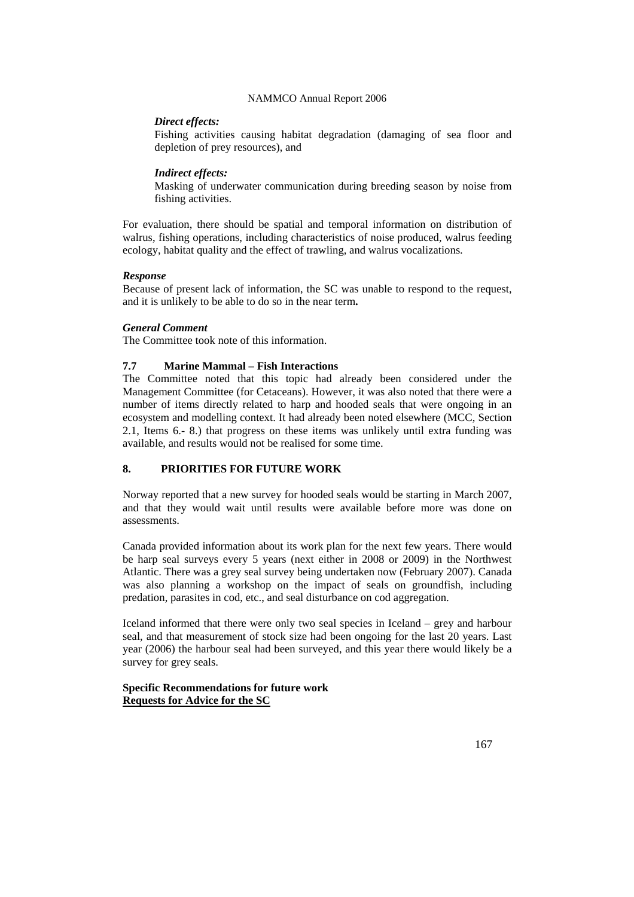# *Direct effects:*

Fishing activities causing habitat degradation (damaging of sea floor and depletion of prey resources), and

# *Indirect effects:*

Masking of underwater communication during breeding season by noise from fishing activities.

For evaluation, there should be spatial and temporal information on distribution of walrus, fishing operations, including characteristics of noise produced, walrus feeding ecology, habitat quality and the effect of trawling, and walrus vocalizations.

### *Response*

Because of present lack of information, the SC was unable to respond to the request, and it is unlikely to be able to do so in the near term**.** 

### *General Comment*

The Committee took note of this information.

# **7.7 Marine Mammal – Fish Interactions**

The Committee noted that this topic had already been considered under the Management Committee (for Cetaceans). However, it was also noted that there were a number of items directly related to harp and hooded seals that were ongoing in an ecosystem and modelling context. It had already been noted elsewhere (MCC, Section 2.1, Items 6.- 8.) that progress on these items was unlikely until extra funding was available, and results would not be realised for some time.

# **8. PRIORITIES FOR FUTURE WORK**

Norway reported that a new survey for hooded seals would be starting in March 2007, and that they would wait until results were available before more was done on assessments.

Canada provided information about its work plan for the next few years. There would be harp seal surveys every 5 years (next either in 2008 or 2009) in the Northwest Atlantic. There was a grey seal survey being undertaken now (February 2007). Canada was also planning a workshop on the impact of seals on groundfish, including predation, parasites in cod, etc., and seal disturbance on cod aggregation.

Iceland informed that there were only two seal species in Iceland – grey and harbour seal, and that measurement of stock size had been ongoing for the last 20 years. Last year (2006) the harbour seal had been surveyed, and this year there would likely be a survey for grey seals.

# **Specific Recommendations for future work Requests for Advice for the SC**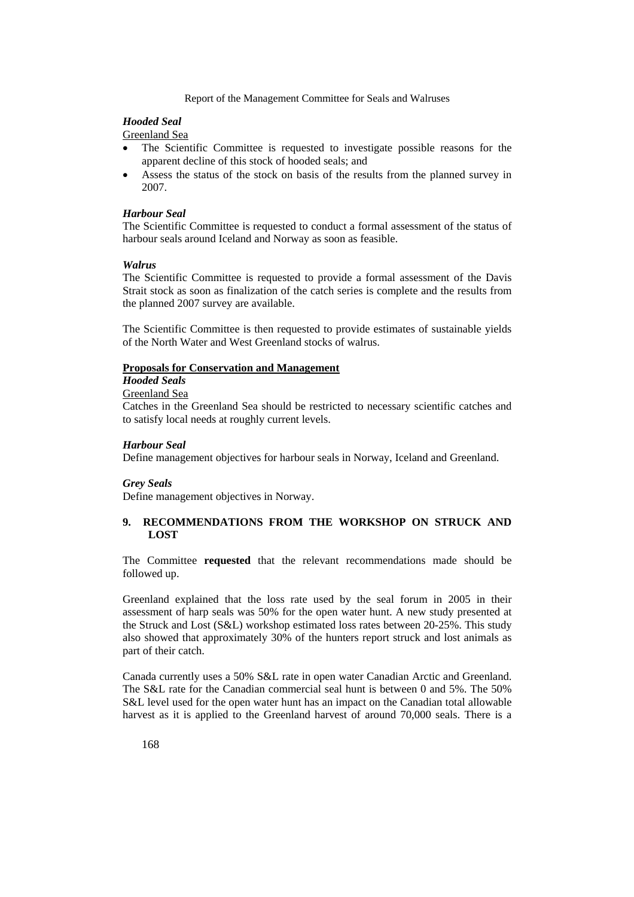# *Hooded Seal*

Greenland Sea

- The Scientific Committee is requested to investigate possible reasons for the apparent decline of this stock of hooded seals; and
- Assess the status of the stock on basis of the results from the planned survey in 2007.

### *Harbour Seal*

The Scientific Committee is requested to conduct a formal assessment of the status of harbour seals around Iceland and Norway as soon as feasible.

#### *Walrus*

The Scientific Committee is requested to provide a formal assessment of the Davis Strait stock as soon as finalization of the catch series is complete and the results from the planned 2007 survey are available.

The Scientific Committee is then requested to provide estimates of sustainable yields of the North Water and West Greenland stocks of walrus.

#### **Proposals for Conservation and Management**

# *Hooded Seals*

Greenland Sea

Catches in the Greenland Sea should be restricted to necessary scientific catches and to satisfy local needs at roughly current levels.

### *Harbour Seal*

Define management objectives for harbour seals in Norway, Iceland and Greenland.

# *Grey Seals*

Define management objectives in Norway.

# **9. RECOMMENDATIONS FROM THE WORKSHOP ON STRUCK AND LOST**

The Committee **requested** that the relevant recommendations made should be followed up.

Greenland explained that the loss rate used by the seal forum in 2005 in their assessment of harp seals was 50% for the open water hunt. A new study presented at the Struck and Lost (S&L) workshop estimated loss rates between 20-25%. This study also showed that approximately 30% of the hunters report struck and lost animals as part of their catch.

Canada currently uses a 50% S&L rate in open water Canadian Arctic and Greenland. The S&L rate for the Canadian commercial seal hunt is between 0 and 5%. The 50% S&L level used for the open water hunt has an impact on the Canadian total allowable harvest as it is applied to the Greenland harvest of around 70,000 seals. There is a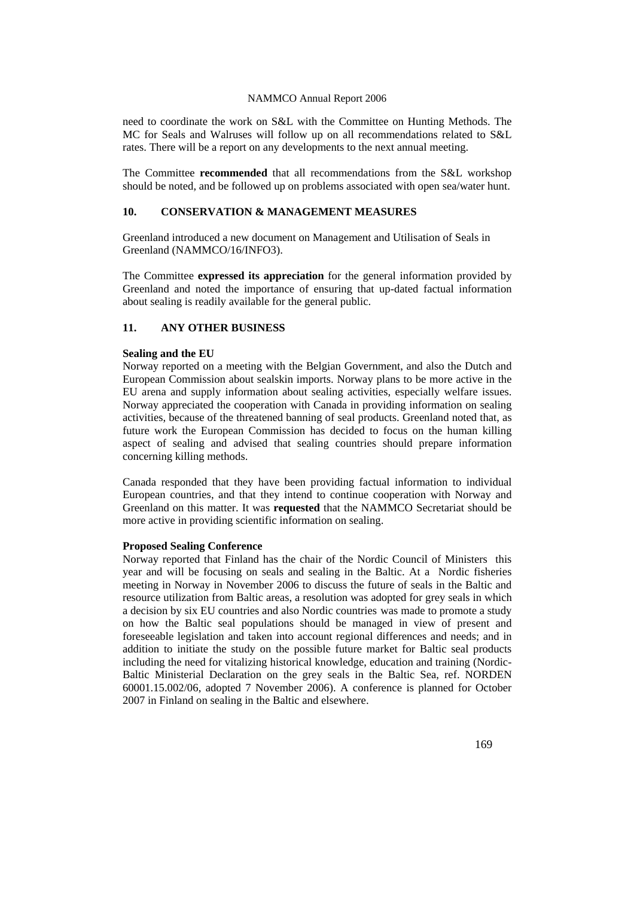need to coordinate the work on S&L with the Committee on Hunting Methods. The MC for Seals and Walruses will follow up on all recommendations related to S&L rates. There will be a report on any developments to the next annual meeting.

The Committee **recommended** that all recommendations from the S&L workshop should be noted, and be followed up on problems associated with open sea/water hunt.

# **10. CONSERVATION & MANAGEMENT MEASURES**

Greenland introduced a new document on Management and Utilisation of Seals in Greenland (NAMMCO/16/INFO3).

The Committee **expressed its appreciation** for the general information provided by Greenland and noted the importance of ensuring that up-dated factual information about sealing is readily available for the general public.

# **11. ANY OTHER BUSINESS**

#### **Sealing and the EU**

Norway reported on a meeting with the Belgian Government, and also the Dutch and European Commission about sealskin imports. Norway plans to be more active in the EU arena and supply information about sealing activities, especially welfare issues. Norway appreciated the cooperation with Canada in providing information on sealing activities, because of the threatened banning of seal products. Greenland noted that, as future work the European Commission has decided to focus on the human killing aspect of sealing and advised that sealing countries should prepare information concerning killing methods.

Canada responded that they have been providing factual information to individual European countries, and that they intend to continue cooperation with Norway and Greenland on this matter. It was **requested** that the NAMMCO Secretariat should be more active in providing scientific information on sealing.

#### **Proposed Sealing Conference**

Norway reported that Finland has the chair of the Nordic Council of Ministers this year and will be focusing on seals and sealing in the Baltic. At a Nordic fisheries meeting in Norway in November 2006 to discuss the future of seals in the Baltic and resource utilization from Baltic areas, a resolution was adopted for grey seals in which a decision by six EU countries and also Nordic countries was made to promote a study on how the Baltic seal populations should be managed in view of present and foreseeable legislation and taken into account regional differences and needs; and in addition to initiate the study on the possible future market for Baltic seal products including the need for vitalizing historical knowledge, education and training (Nordic-Baltic Ministerial Declaration on the grey seals in the Baltic Sea, ref. NORDEN 60001.15.002/06, adopted 7 November 2006). A conference is planned for October 2007 in Finland on sealing in the Baltic and elsewhere.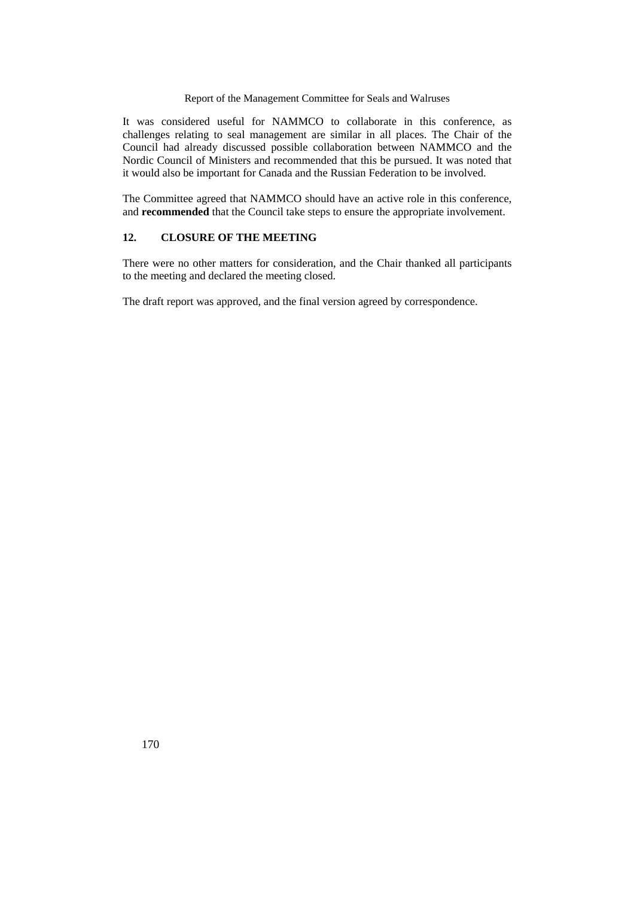It was considered useful for NAMMCO to collaborate in this conference, as challenges relating to seal management are similar in all places. The Chair of the Council had already discussed possible collaboration between NAMMCO and the Nordic Council of Ministers and recommended that this be pursued. It was noted that it would also be important for Canada and the Russian Federation to be involved.

The Committee agreed that NAMMCO should have an active role in this conference, and **recommended** that the Council take steps to ensure the appropriate involvement.

# **12. CLOSURE OF THE MEETING**

There were no other matters for consideration, and the Chair thanked all participants to the meeting and declared the meeting closed.

The draft report was approved, and the final version agreed by correspondence.